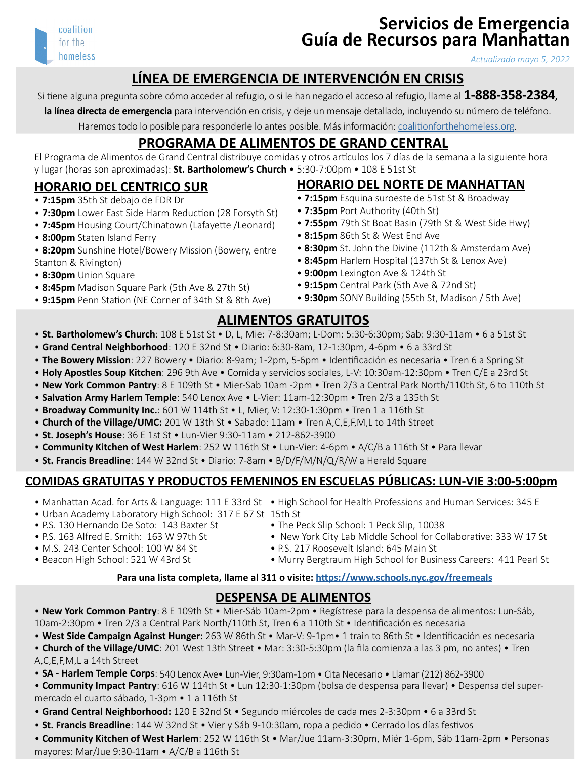

# **Servicios de Emergencia Guía de Recursos para Manhattan**

*Actualizado mayo 5, 2022*

# **LÍNEA DE EMERGENCIA DE INTERVENCIÓN EN CRISIS**

Si tiene alguna pregunta sobre cómo acceder al refugio, o si le han negado el acceso al refugio, llame al **1-888-358-2384,** 

**la línea directa de emergencia** para intervención en crisis, y deje un mensaje detallado, incluyendo su número de teléfono.

Haremos todo lo posible para responderle lo antes posible. Más información: [coalitionforthehomeless.org.](http://coalitionforthehomeless.org)

# **PROGRAMA DE ALIMENTOS DE GRAND CENTRAL**

El Programa de Alimentos de Grand Central distribuye comidas y otros artículos los 7 días de la semana a la siguiente hora y lugar (horas son aproximadas): **St. Bartholomew's Church** • 5:30-7:00pm • 108 E 51st St

#### **HORARIO DEL CENTRICO SUR**

- **7:15pm** 35th St debajo de FDR Dr
- • **7:30pm** Lower East Side Harm Reduction (28 Forsyth St)
- • **7:45pm** Housing Court/Chinatown (Lafayette /Leonard)
- **8:00pm** Staten Island Ferry
- **8:20pm** Sunshine Hotel/Bowery Mission (Bowery, entre Stanton & Rivington)
- **8:30pm** Union Square
- **8:45pm** Madison Square Park (5th Ave & 27th St)
- **9:15pm** Penn Station (NE Corner of 34th St & 8th Ave)

# **HORARIO DEL NORTE DE MANHATTAN**

- **7:15pm** Esquina suroeste de 51st St & Broadway
- **7:35pm** Port Authority (40th St)
- **7:55pm** 79th St Boat Basin (79th St & West Side Hwy)
- **8:15pm** 86th St & West End Ave
- **8:30pm** St. John the Divine (112th & Amsterdam Ave)
- **8:45pm** Harlem Hospital (137th St & Lenox Ave)
- **9:00pm** Lexington Ave & 124th St
- **9:15pm** Central Park (5th Ave & 72nd St)
- **9:30pm** SONY Building (55th St, Madison / 5th Ave)

#### **ALIMENTOS GRATUITOS**

- **St. Bartholomew's Church**: 108 E 51st St D, L, Mie: 7-8:30am; L-Dom: 5:30-6:30pm; Sab: 9:30-11am 6 a 51st St
- **Grand Central Neighborhood**: 120 E 32nd St Diario: 6:30-8am, 12-1:30pm, 4-6pm 6 a 33rd St
- **The Bowery Mission**: 227 Bowery Diario: 8-9am; 1-2pm, 5-6pm Identificación es necesaria Tren 6 a Spring St
- **Holy Apostles Soup Kitchen**: 296 9th Ave Comida y servicios sociales, L-V: 10:30am-12:30pm Tren C/E a 23rd St
- **New York Common Pantry**: 8 E 109th St Mier-Sab 10am -2pm Tren 2/3 a Central Park North/110th St, 6 to 110th St
- • **Salvation Army Harlem Temple**: 540 Lenox Ave L-Vier: 11am-12:30pm Tren 2/3 a 135th St
- **Broadway Community Inc.**: 601 W 114th St L, Mier, V: 12:30-1:30pm Tren 1 a 116th St
- **Church of the Village/UMC:** 201 W 13th St Sabado: 11am Tren A,C,E,F,M,L to 14th Street
- **St. Joseph's House**: 36 E 1st St Lun-Vier 9:30-11am 212-862-3900
- **Community Kitchen of West Harlem**: 252 W 116th St Lun-Vier: 4-6pm A/C/B a 116th St Para llevar
- **St. Francis Breadline**: 144 W 32nd St Diario: 7-8am B/D/F/M/N/Q/R/W a Herald Square

#### **COMIDAS GRATUITAS Y PRODUCTOS FEMENINOS EN ESCUELAS PÚBLICAS: LUN-VIE 3:00-5:00pm**

- Manhattan Acad. for Arts & Language: 111 E 33rd St . High School for Health Professions and Human Services: 345 E
- Urban Academy Laboratory High School: 317 E 67 St 15th St
- P.S. 130 Hernando De Soto: 143 Baxter St
- P.S. 163 Alfred E. Smith: 163 W 97th St
- M.S. 243 Center School: 100 W 84 St
- Beacon High School: 521 W 43rd St
- 
- The Peck Slip School: 1 Peck Slip, 10038
- New York City Lab Middle School for Collaborative: 333 W 17 St
- 
- Murry Bergtraum High School for Business Careers: 411 Pearl St

#### **Para una lista completa, llame al 311 o visite: <https://www.schools.nyc.gov/freemeals>**

#### **DESPENSA DE ALIMENTOS**

• **New York Common Pantry**: 8 E 109th St • Mier-Sáb 10am-2pm • Regístrese para la despensa de alimentos: Lun-Sáb, 10am-2:30pm • Tren 2/3 a Central Park North/110th St, Tren 6 a 110th St • Identificación es necesaria

• **West Side Campaign Against Hunger:** 263 W 86th St • Mar-V: 9-1pm• 1 train to 86th St • Identificación es necesaria

• **Church of the Village/UMC**: 201 West 13th Street • Mar: 3:30-5:30pm (la fila comienza a las 3 pm, no antes) • Tren A,C,E,F,M,L a 14th Street

- • **SA Harlem Temple Corps**: 540 Lenox Ave• Lun-Vier, 9:30am-1pm Cita Necesario Llamar (212) 862-3900
- • **Community Impact Pantry**: 616 W 114th St Lun 12:30-1:30pm (bolsa de despensa para llevar) Despensa del supermercado el cuarto sábado, 1-3pm • 1 a 116th St
- **Grand Central Neighborhood:** 120 E 32nd St Segundo miércoles de cada mes 2-3:30pm 6 a 33rd St
- **St. Francis Breadline**: 144 W 32nd St Vier y Sáb 9-10:30am, ropa a pedido Cerrado los días festivos
- **Community Kitchen of West Harlem**: 252 W 116th St Mar/Jue 11am-3:30pm, Miér 1-6pm, Sáb 11am-2pm Personas mayores: Mar/Jue 9:30-11am • A/C/B a 116th St
- 
- 
- 
- - P.S. 217 Roosevelt Island: 645 Main St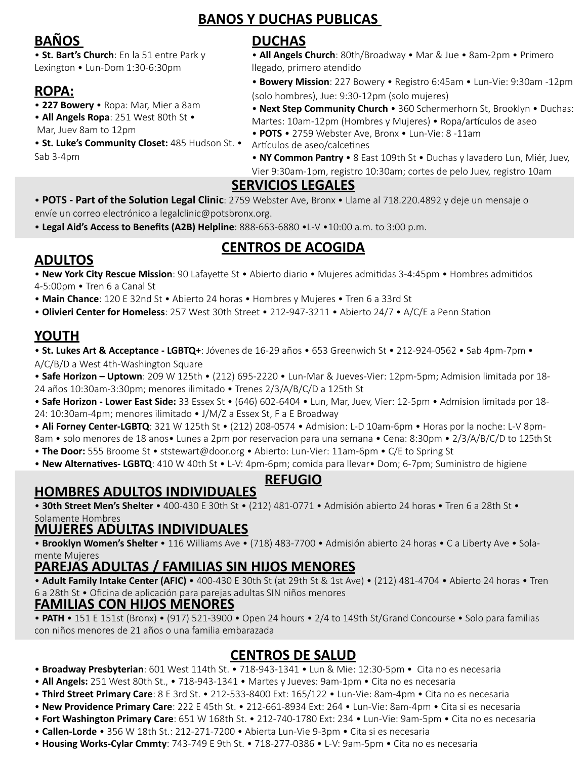#### **BANOS Y DUCHAS PUBLICAS**

# **BAÑOS**

• **St. Bart's Church**: En la 51 entre Park y Lexington • Lun-Dom 1:30-6:30pm

# **ROPA:**

- • **227 Bowery** Ropa: Mar, Mier a 8am
- **All Angels Ropa**: 251 West 80th St •
- Mar, Juev 8am to 12pm
- **St. Luke's Community Closet:** 485 Hudson St. Sab 3-4pm

# **DUCHAS**

• **All Angels Church**: 80th/Broadway • Mar & Jue • 8am-2pm • Primero llegado, primero atendido

• **Bowery Mission**: 227 Bowery • Registro 6:45am • Lun-Vie: 9:30am -12pm (solo hombres), Jue: 9:30-12pm (solo mujeres)

• **Next Step Community Church** • 360 Schermerhorn St, Brooklyn • Duchas: Martes: 10am-12pm (Hombres y Mujeres) • Ropa/artículos de aseo

• **POTS** • 2759 Webster Ave, Bronx • Lun-Vie: 8 -11am

Artículos de aseo/calcetines • **NY Common Pantry** • 8 East 109th St • Duchas y lavadero Lun, Miér, Juev,

Vier 9:30am-1pm, registro 10:30am; cortes de pelo Juev, registro 10am

#### **SERVICIOS LEGALES**

• **POTS - Part of the Solution Legal Clinic**: 2759 Webster Ave, Bronx • Llame al 718.220.4892 y deje un mensaje o envíe un correo electrónico a legalclinic@potsbronx.org.

• **Legal Aid's Access to Benefits (A2B) Helpline**: 888-663-6880 •L-V •10:00 a.m. to 3:00 p.m.

# **CENTROS DE ACOGIDA**

# **ADULTOS**

• **New York City Rescue Mission**: 90 Lafayette St • Abierto diario • Mujeres admitidas 3-4:45pm • Hombres admitidos 4-5:00pm • Tren 6 a Canal St

• **Main Chance**: 120 E 32nd St • Abierto 24 horas • Hombres y Mujeres • Tren 6 a 33rd St

• **Olivieri Center for Homeless**: 257 West 30th Street • 212-947-3211 • Abierto 24/7 • A/C/E a Penn Station

# **YOUTH**

• **St. Lukes Art & Acceptance - LGBTQ+**: Jóvenes de 16-29 años • 653 Greenwich St • 212-924-0562 • Sab 4pm-7pm • A/C/B/D a West 4th-Washington Square

• **Safe Horizon – Uptown**: 209 W 125th • (212) 695-2220 • Lun-Mar & Jueves-Vier: 12pm-5pm; Admision limitada por 18- 24 años 10:30am-3:30pm; menores ilimitado • Trenes 2/3/A/B/C/D a 125th St

• **Safe Horizon - Lower East Side:** 33 Essex St • (646) 602-6404 • Lun, Mar, Juev, Vier: 12-5pm • Admision limitada por 18- 24: 10:30am-4pm; menores ilimitado • J/M/Z a Essex St, F a E Broadway

• **Ali Forney Center-LGBTQ**: 321 W 125th St • (212) 208-0574 • Admision: L-D 10am-6pm • Horas por la noche: L-V 8pm-8am • solo menores de 18 anos• Lunes a 2pm por reservacion para una semana • Cena: 8:30pm • 2/3/A/B/C/D to 125th St

- **The Door:** 555 Broome St ststewart@door.org Abierto: Lun-Vier: 11am-6pm C/E to Spring St
- **New Alternatives- LGBTQ**: 410 W 40th St L-V: 4pm-6pm; comida para llevar• Dom; 6-7pm; Suministro de higiene

#### **REFUGIO**

#### **HOMBRES ADULTOS INDIVIDUALES**

• **30th Street Men's Shelter** • 400-430 E 30th St • (212) 481-0771 • Admisión abierto 24 horas • Tren 6 a 28th St • Solamente Hombres

#### **MUJERES ADULTAS INDIVIDUALES**

• **Brooklyn Women's Shelter** • 116 Williams Ave • (718) 483-7700 • Admisión abierto 24 horas • C a Liberty Ave • Solamente Mujeres

#### **PAREJAS ADULTAS / FAMILIAS SIN HIJOS MENORES**

• **Adult Family Intake Center (AFIC)** • 400-430 E 30th St (at 29th St & 1st Ave) • (212) 481-4704 • Abierto 24 horas • Tren 6 a 28th St • Oficina de aplicación para parejas adultas SIN niños menores

#### **FAMILIAS CON HIJOS MENORES**

• **PATH** • 151 E 151st (Bronx) • (917) 521-3900 • Open 24 hours • 2/4 to 149th St/Grand Concourse • Solo para familias con niños menores de 21 años o una familia embarazada

#### **CENTROS DE SALUD**

- **Broadway Presbyterian**: 601 West 114th St. 718-943-1341 Lun & Mie: 12:30-5pm Cita no es necesaria
- **All Angels:** 251 West 80th St., 718-943-1341 Martes y Jueves: 9am-1pm Cita no es necesaria
- **Third Street Primary Care**: 8 E 3rd St. 212-533-8400 Ext: 165/122 Lun-Vie: 8am-4pm Cita no es necesaria
- **New Providence Primary Care**: 222 E 45th St. 212-661-8934 Ext: 264 Lun-Vie: 8am-4pm Cita si es necesaria
- **Fort Washington Primary Care**: 651 W 168th St. 212-740-1780 Ext: 234 Lun-Vie: 9am-5pm Cita no es necesaria
- **Callen-Lorde**  356 W 18th St.: 212-271-7200 Abierta Lun-Vie 9-3pm Cita si es necesaria
- • **Housing Works-Cylar Cmmty**: 743-749 E 9th St. 718-277-0386 L-V: 9am-5pm Cita no es necesaria